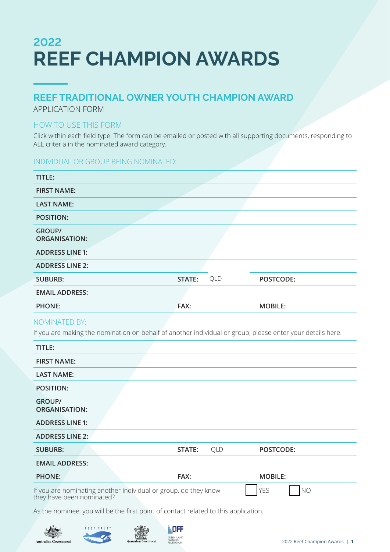# **2022 REEF CHAMPION AWARDS**

## **REEF TRADITIONAL OWNER YOUTH CHAMPION AWARD**

APPLICATION FORM

### HOW TO USE THIS FORM

Click within each field type. The form can be emailed or posted with all supporting documents, responding to ALL criteria in the nominated award category.

### INDIVIDUAL OR GROUP BEING NOMINATED:

| TITLE:                                |        |     |                |
|---------------------------------------|--------|-----|----------------|
| <b>FIRST NAME:</b>                    |        |     |                |
| <b>LAST NAME:</b>                     |        |     |                |
| <b>POSITION:</b>                      |        |     |                |
| <b>GROUP/</b><br><b>ORGANISATION:</b> |        |     |                |
| <b>ADDRESS LINE 1:</b>                |        |     |                |
| <b>ADDRESS LINE 2:</b>                |        |     |                |
| <b>SUBURB:</b>                        | STATE: | QLD | POSTCODE:      |
| <b>EMAIL ADDRESS:</b>                 |        |     |                |
| <b>PHONE:</b>                         | FAX:   |     | <b>MOBILE:</b> |

### NOMINATED BY:

If you are making the nomination on behalf of another individual or group, please enter your details here.

| TITLE:                                |                                                                                              |     |                              |
|---------------------------------------|----------------------------------------------------------------------------------------------|-----|------------------------------|
| <b>FIRST NAME:</b>                    |                                                                                              |     |                              |
| <b>LAST NAME:</b>                     |                                                                                              |     |                              |
| <b>POSITION:</b>                      |                                                                                              |     |                              |
| <b>GROUP/</b><br><b>ORGANISATION:</b> |                                                                                              |     |                              |
| <b>ADDRESS LINE 1:</b>                |                                                                                              |     |                              |
| <b>ADDRESS LINE 2:</b>                |                                                                                              |     |                              |
| <b>SUBURB:</b>                        | STATE:                                                                                       | QLD | POSTCODE:                    |
| <b>EMAIL ADDRESS:</b>                 |                                                                                              |     |                              |
| <b>PHONE:</b>                         | FAX:                                                                                         |     | <b>MOBILE:</b>               |
|                                       | If you are nominating another individual or group, do they know<br>they have been nominated? |     | <b>YES</b><br>N <sub>O</sub> |

As the nominee, you will be the first point of contact related to this application.





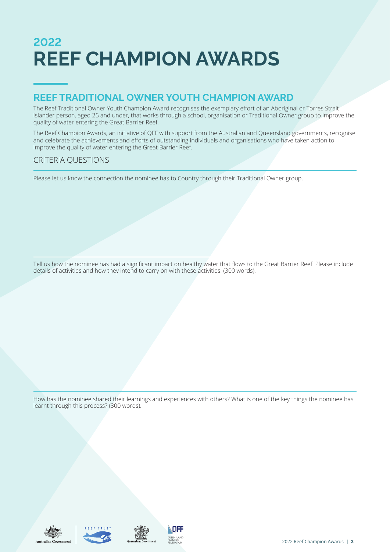# **2022 REEF CHAMPION AWARDS**

## **REEF TRADITIONAL OWNER YOUTH CHAMPION AWARD**

The Reef Traditional Owner Youth Champion Award recognises the exemplary effort of an Aboriginal or Torres Strait Islander person, aged 25 and under, that works through a school, organisation or Traditional Owner group to improve the quality of water entering the Great Barrier Reef.

The Reef Champion Awards, an initiative of QFF with support from the Australian and Queensland governments, recognise and celebrate the achievements and efforts of outstanding individuals and organisations who have taken action to improve the quality of water entering the Great Barrier Reef.

### CRITERIA QUESTIONS

Please let us know the connection the nominee has to Country through their Traditional Owner group.

Tell us how the nominee has had a significant impact on healthy water that flows to the Great Barrier Reef. Please include details of activities and how they intend to carry on with these activities. (300 words).

How has the nominee shared their learnings and experiences with others? What is one of the key things the nominee has learnt through this process? (300 words).







**QUEENSLAND**<br>FARMERS'<br>FEDERATION